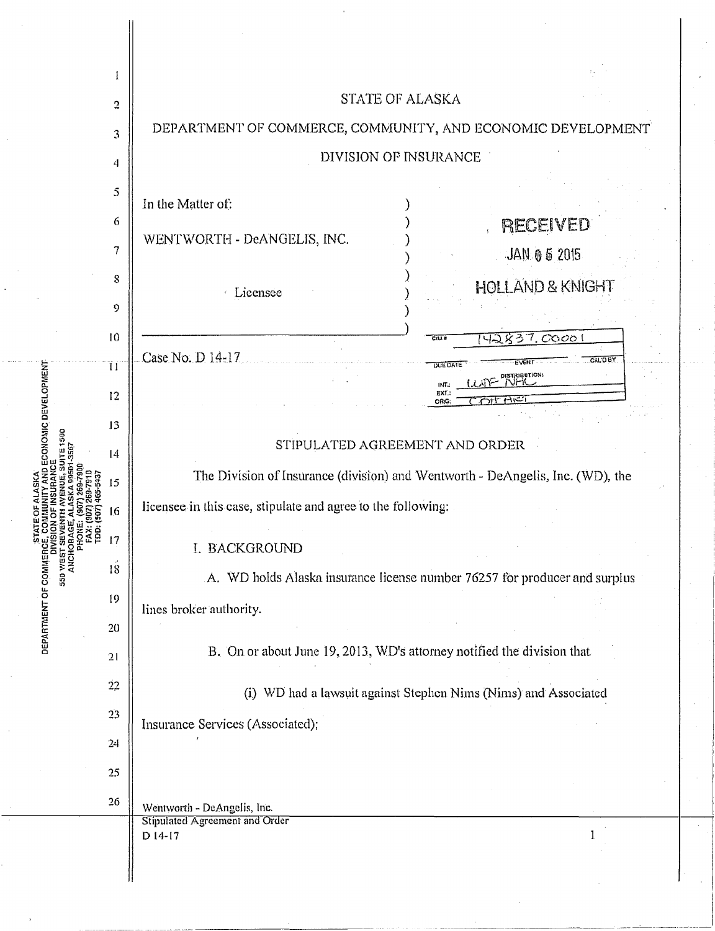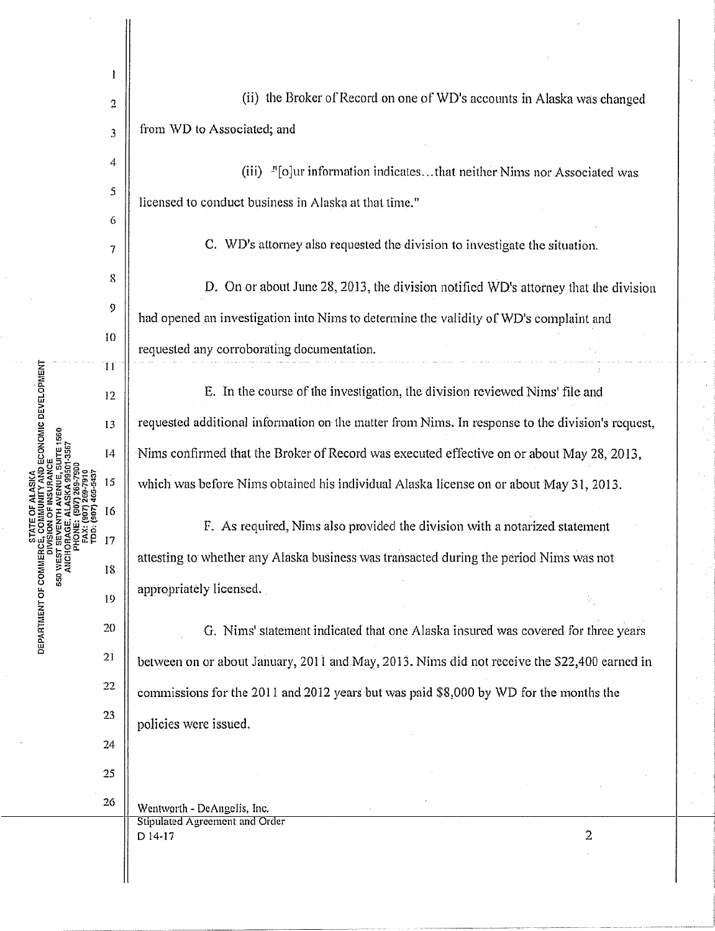$\mathbf{I}$ 2 from WD to Associated; and 3  $\overline{4}$ (iii)  $\frac{1}{2}$ [o]ur information indicates... that neither Nims nor Associated was 5 licensed to conduct business in Alaska at that time." 6 7 8 9 JO 11  $\widetilde{\mathbb{E}}$  .  $\mathbf{E}$  . E. In the course of 1he investigation, the division reviewed Nims' file and **DEVELO** 12 requested additional information on the matter from Nims. ln response to the division's request, 13 14 15 16 17 DEPARTMENT OF COMMERCE, **550 WEST** 18 appropriately licensed. 19 20  $21$ 22 23 policies were issued. 24 25 26 Wentworth - DcAngclis, Inc. Stipulated Agreement and Order  $D$  14-17 2

Nims confirmed that the Broker of Record was executed effective on or about May 28, 2013, which was before Nims obtained his individual Alaska license on or about May 31, 2013. F. As required, Nims also provided the division with a notarized statement attesting to whether any Alaska business was transacted during the period Nims was not

D. On or about June 28, 2013, the division notified WD's attorney that the division had opened an investigation into Nims to determine the validity of WD's complaint and requested any corroborating documentation.

C. WD's attorney also requested the division to investigate the situation.

(ii) the Broker of Record on one of WD's accounts in Alaska was changed

G. Nims' statement indicated that one Alaska insured was covered for three years between on or about January, 2011 and May, 2013. Nims did not receive the \$22,400 earned in commissions for the 2011 and 2012 years but was paid  $$8,000$  by WD for the months the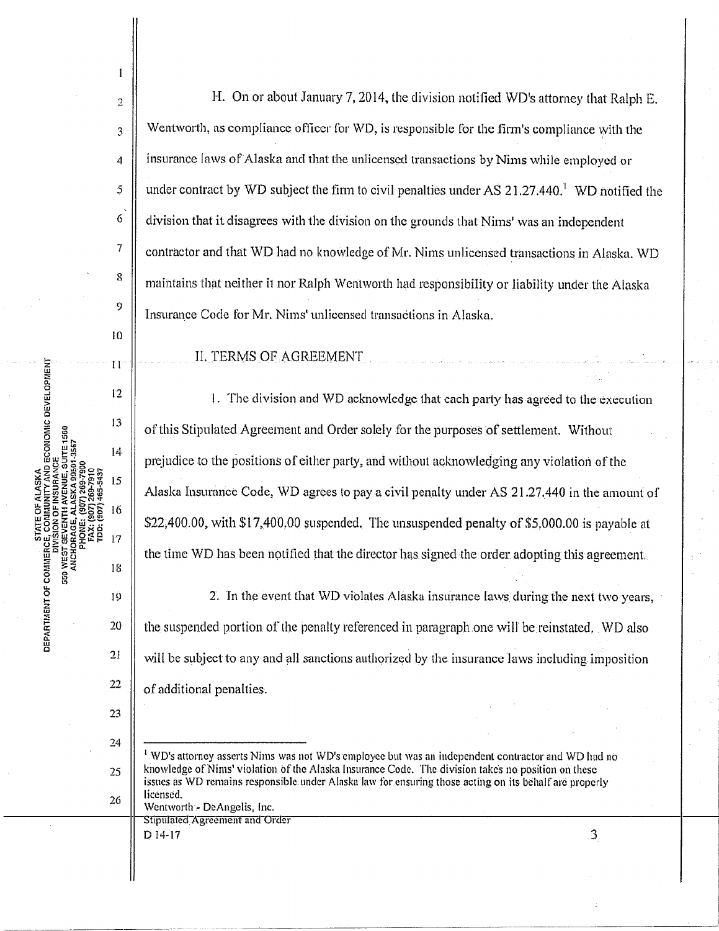H. On or about January 7, 2014, the division notified WD's attorney that Ralph E. Wentworth, as compliance officer for  $WD$ , is responsible for the firm's compliance with the insurance laws of Alaska and that the unlicensed transactions by Nims while employed or under contract by WD subject the firm to civil penalties under AS  $21.27.440$ . <sup>1</sup>WD notified the division that it disagrees with the division on the grounds that Nims' was an independent contractor and that WD had no knowledge of Mr. Nims unlicensed transactions in Alaska. WD maintains that neither it nor Ralph Wentworth had responsibility or liability under the Alaska Insurance Code for Mr. Nims' unlicensed transactions in Alaska.

II.TERMS OF AGREEMENT

I. The division and WD acknowledge that each party has agreed to the execution of this Stipulated Agreement and Order solely for the purposes of settlement. Without prejudice to the positions of either party, and without acknowledging any violation of the Alaska Insurance Code, WD agrees to pay a civil penalty under AS 21.27 .440 in the amount of \$22,400.00, with  $$17,400.00$  suspended. The unsuspended penalty of \$5,000.00 is payable at the time WD has been notified that the director has signed the order adopting this agreement.

2. In the event that WD violates Alaska insurance laws during the next two years, the suspended portion of the penalty referenced in paragraph.one will be reinstated. WD also will be subject to any and all sanctions authorized by the insurance laws including imposition of additional penalties.

Stipulated Agreement and Order

 $D$  14-17 3

**SENTOF** 

2

 $\mathbf{1}$ 

3

4

5

6

7

s

 $\dot{9}$ 

 $10$ 

 $11$ 

 $12<sup>°</sup>$ 

13

 $14$ 

15

16

PHONE: ä  $17$ 

19

18

20

21

22

23

24

25

26

<sup>~</sup>*a:*  ct w Cl

·--~---·------------\_-0

<sup>&</sup>lt;sup>1</sup> WD's attorney asserts Nims was not WD's employee but was an independent contractor and WD had no knowledge of Nims' violation of the Alaska Insurance Code. The division takes no position on these issues as WD remains responsible under Alaska law for ensuring those acting on its behalf are properly licensed.<br>Wentworth - DeAngelis, Inc.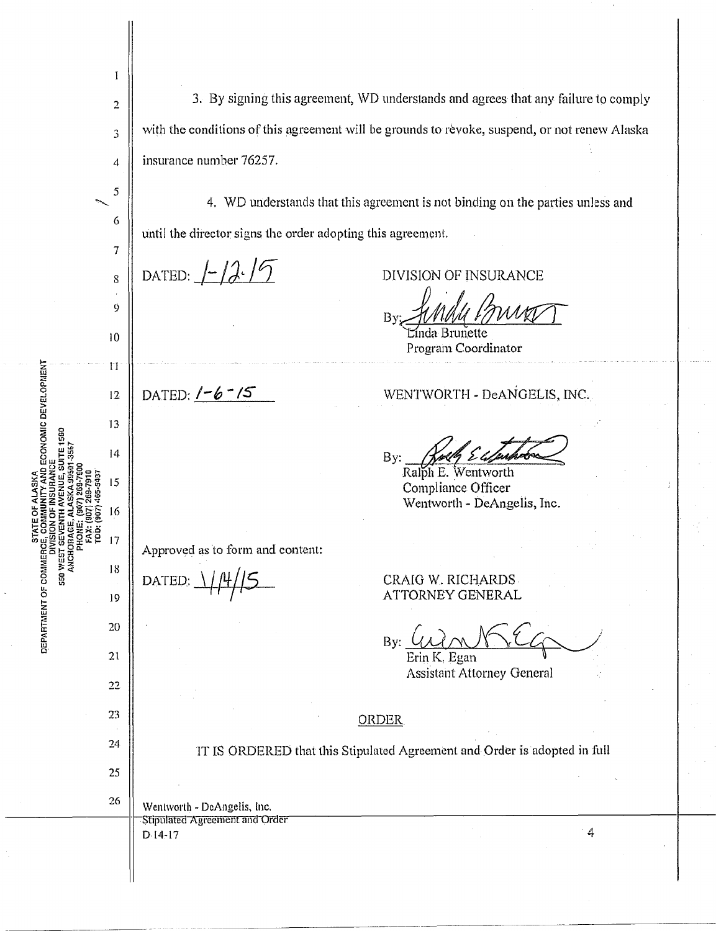|                                                                      | I                       |                                                                                               |
|----------------------------------------------------------------------|-------------------------|-----------------------------------------------------------------------------------------------|
| , SUITE 1560<br>501-3567<br><b>550 WEST S<br/>ANCHORE</b><br>ANCHORE | $\overline{\mathbf{c}}$ | 3. By signing this agreement, WD understands and agrees that any failure to comply            |
|                                                                      | 3                       | with the conditions of this agreement will be grounds to revoke, suspend, or not renew Alaska |
|                                                                      | 4                       | insurance number 76257.                                                                       |
|                                                                      | 5                       | 4. WD understands that this agreement is not binding on the parties unless and                |
|                                                                      | 6                       | until the director signs the order adopting this agreement.                                   |
|                                                                      | 7                       |                                                                                               |
|                                                                      | $8\,$                   | DATED: $\frac{1}{\sqrt{2}}$<br>DIVISION OF INSURANCE                                          |
|                                                                      | 9                       | By<br><b>Brunette</b>                                                                         |
|                                                                      | 10<br>$\mathbf{H}$      | Program Coordinator                                                                           |
|                                                                      | 12                      | WENTWORTH - DeANGELIS, INC.<br>DATED: $1 - 6 - 15$                                            |
|                                                                      | 13                      |                                                                                               |
|                                                                      | $\overline{14}$         | By:                                                                                           |
|                                                                      | 15                      | Ralph E. Wentworth<br>Compliance Officer                                                      |
|                                                                      | 16                      | Wentworth - DeAngelis, Inc.                                                                   |
|                                                                      | 7                       | Approved as to form and content:                                                              |
|                                                                      | 18                      | DATED:<br>CRAIG W. RICHARDS                                                                   |
|                                                                      | 19                      | ATTORNEY GENERAL                                                                              |
|                                                                      | 20                      | By:                                                                                           |
|                                                                      | 21<br>22                | Erin K. Egan<br><b>Assistant Attorney General</b>                                             |
|                                                                      | 23                      | <b>ORDER</b>                                                                                  |
|                                                                      | 24                      | IT IS ORDERED that this Stipulated Agreement and Order is adopted in full                     |
|                                                                      | 25                      |                                                                                               |
|                                                                      | 26                      | Wentworth - DeAngelis, Inc.                                                                   |
|                                                                      |                         | Stipulated Agreement and Order<br>$\overline{4}$<br>$D.14-17$                                 |
|                                                                      |                         |                                                                                               |

 $\cdot$ 

 $\frac{\chi}{2}$ 

l,

 $\frac{1}{2}$  $\frac{1}{2}$ 

**DEVELOPNENT**